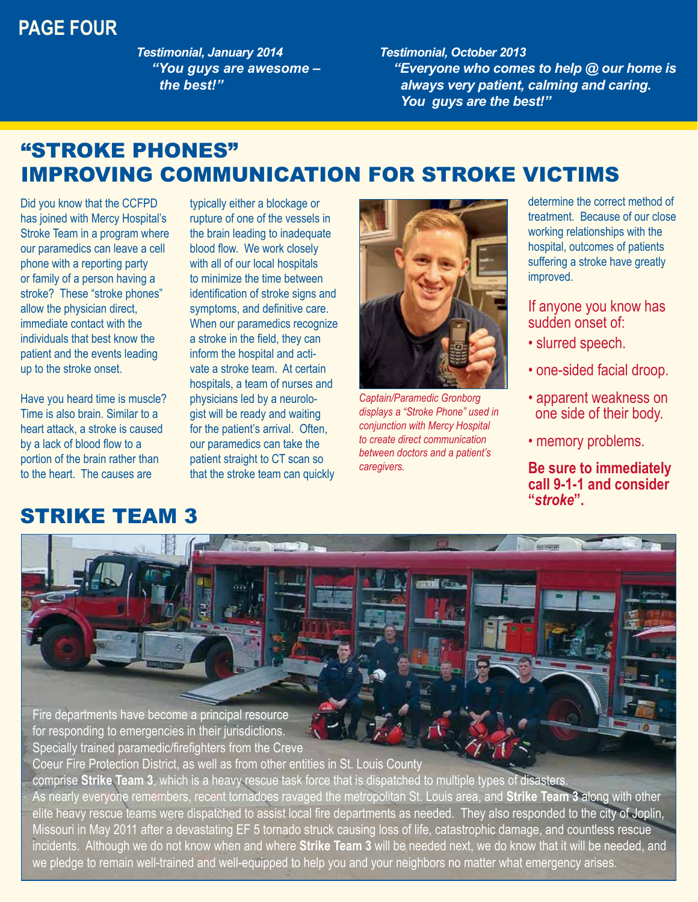#### **PAGE FOUR**

*Testimonial, January 2014 "You guys are awesome – the best!"*

*Testimonial, October 2013 "Everyone who comes to help @ our home is always very patient, calming and caring. You guys are the best!"*

## "STROKE PHONES" IMPROVING COMMUNICATION FOR STROKE VICTIMS

Did you know that the CCFPD has joined with Mercy Hospital's Stroke Team in a program where our paramedics can leave a cell phone with a reporting party or family of a person having a stroke? These "stroke phones" allow the physician direct, immediate contact with the individuals that best know the patient and the events leading up to the stroke onset.

Have you heard time is muscle? Time is also brain. Similar to a heart attack, a stroke is caused by a lack of blood flow to a portion of the brain rather than to the heart. The causes are

#### STRIKE TEAM 3

typically either a blockage or rupture of one of the vessels in the brain leading to inadequate blood flow. We work closely with all of our local hospitals to minimize the time between identification of stroke signs and symptoms, and definitive care. When our paramedics recognize a stroke in the field, they can inform the hospital and activate a stroke team. At certain hospitals, a team of nurses and physicians led by a neurologist will be ready and waiting for the patient's arrival. Often, our paramedics can take the patient straight to CT scan so that the stroke team can quickly



*Captain/Paramedic Gronborg displays a "Stroke Phone" used in conjunction with Mercy Hospital to create direct communication between doctors and a patient's caregivers.*

determine the correct method of treatment. Because of our close working relationships with the hospital, outcomes of patients suffering a stroke have greatly improved.

If anyone you know has sudden onset of:

- slurred speech.
- one-sided facial droop.
- apparent weakness on one side of their body.
- memory problems.

**Be sure to immediately call 9-1-1 and consider "***stroke***".**

Fire departments have become a principal resource for responding to emergencies in their jurisdictions. Specially trained paramedic/firefighters from the Creve

Coeur Fire Protection District, as well as from other entities in St. Louis County comprise **Strike Team 3**, which is a heavy rescue task force that is dispatched to multiple types of disasters.

As nearly everyone remembers, recent tornadoes ravaged the metropolitan St. Louis area, and **Strike Team 3** along with other elite heavy rescue teams were dispatched to assist local fire departments as needed. They also responded to the city of Joplin, Missouri in May 2011 after a devastating EF 5 tornado struck causing loss of life, catastrophic damage, and countless rescue incidents. Although we do not know when and where **Strike Team 3** will be needed next, we do know that it will be needed, and we pledge to remain well-trained and well-equipped to help you and your neighbors no matter what emergency arises.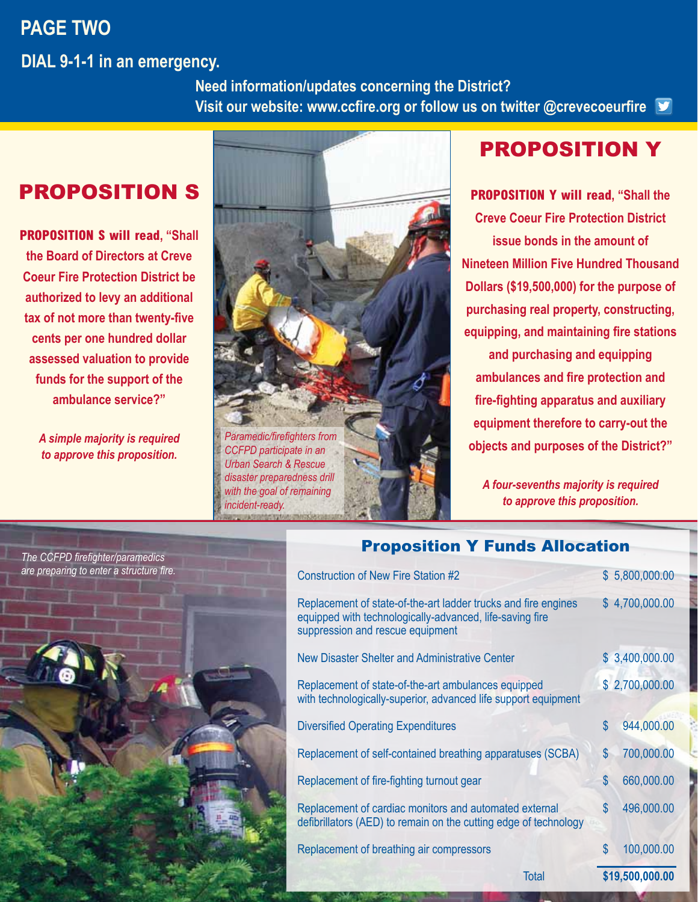#### **PAGE TWO**

**DIAL 9-1-1 in an emergency.**

 **Need information/updates concerning the District? Visit our website: www.ccfire.org or follow us on twitter @crevecoeurfire**

#### PROPOSITION S

**PROPOSITION S will read, "Shall the Board of Directors at Creve Coeur Fire Protection District be authorized to levy an additional tax of not more than twenty-five cents per one hundred dollar assessed valuation to provide funds for the support of the ambulance service?"**

> *A simple majority is required to approve this proposition.*



*CCFPD participate in an Urban Search & Rescue disaster preparedness drill with the goal of remaining incident-ready.*



#### PROPOSITION Y

**PROPOSITION Y will read, "Shall the Creve Coeur Fire Protection District issue bonds in the amount of Nineteen Million Five Hundred Thousand Dollars (\$19,500,000) for the purpose of purchasing real property, constructing, equipping, and maintaining fire stations and purchasing and equipping ambulances and fire protection and fire-fighting apparatus and auxiliary equipment therefore to carry-out the objects and purposes of the District?"**

*A four-sevenths majority is required to approve this proposition.*



#### Proposition Y Funds Allocation

| defibrillators (AED) to remain on the cutting edge of technology<br>S<br>Replacement of breathing air compressors                                              | 660,000.00<br>496,000.00<br>100,000.00 |  |
|----------------------------------------------------------------------------------------------------------------------------------------------------------------|----------------------------------------|--|
|                                                                                                                                                                |                                        |  |
| $\mathfrak{L}$<br>Replacement of cardiac monitors and automated external                                                                                       |                                        |  |
| \$<br>Replacement of fire-fighting turnout gear                                                                                                                |                                        |  |
| \$<br>Replacement of self-contained breathing apparatuses (SCBA)                                                                                               | 700,000.00                             |  |
| \$<br><b>Diversified Operating Expenditures</b>                                                                                                                | 944,000.00                             |  |
| Replacement of state-of-the-art ambulances equipped<br>with technologically-superior, advanced life support equipment                                          | \$2,700,000.00                         |  |
| New Disaster Shelter and Administrative Center                                                                                                                 | \$3,400,000.00                         |  |
| Replacement of state-of-the-art ladder trucks and fire engines<br>equipped with technologically-advanced, life-saving fire<br>suppression and rescue equipment | \$4,700,000.00                         |  |
| <b>Construction of New Fire Station #2</b>                                                                                                                     | \$5,800,000.00                         |  |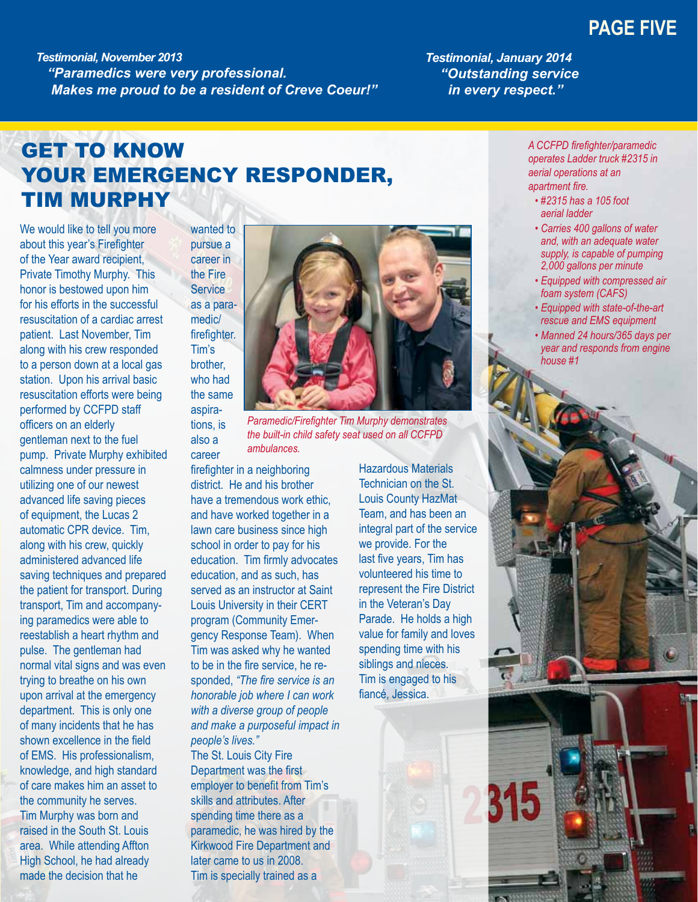#### **PAGE FIVE**

*Testimonial, November 2013 "Paramedics were very professional.*<br>**Makes me proud to be a resident of Creve Coeur!"**  *Testimonial, January 2014 "Outstanding service in every respect."*

## GET TO KNOW YOUR EMERGENCY RESPONDER, TIM MURPHY

We would like to tell you more about this year's Firefighter of the Year award recipient, Private Timothy Murphy. This honor is bestowed upon him for his efforts in the successful resuscitation of a cardiac arrest patient. Last November, Tim along with his crew responded to a person down at a local gas station. Upon his arrival basic resuscitation efforts were being performed by CCFPD staff officers on an elderly gentleman next to the fuel pump. Private Murphy exhibited calmness under pressure in utilizing one of our newest advanced life saving pieces of equipment, the Lucas 2 automatic CPR device. Tim, along with his crew, quickly administered advanced life saving techniques and prepared the patient for transport. During transport, Tim and accompanying paramedics were able to reestablish a heart rhythm and pulse. The gentleman had normal vital signs and was even trying to breathe on his own upon arrival at the emergency department. This is only one of many incidents that he has shown excellence in the field of EMS. His professionalism, knowledge, and high standard of care makes him an asset to the community he serves. Tim Murphy was born and raised in the South St. Louis area. While attending Affton High School, he had already made the decision that he

wanted to pursue a career in the Fire **Service** as a paramedic/ firefighter. Tim's brother, who had the same aspirations, is also a

career



*Paramedic/Firefighter Tim Murphy demonstrates the built-in child safety seat used on all CCFPD ambulances.*

firefighter in a neighboring district. He and his brother have a tremendous work ethic, and have worked together in a lawn care business since high school in order to pay for his education. Tim firmly advocates education, and as such, has served as an instructor at Saint Louis University in their CERT program (Community Emergency Response Team). When Tim was asked why he wanted to be in the fire service, he responded, *"The fire service is an honorable job where I can work with a diverse group of people and make a purposeful impact in people's lives."*

The St. Louis City Fire Department was the first employer to benefit from Tim's skills and attributes. After spending time there as a paramedic, he was hired by the Kirkwood Fire Department and later came to us in 2008. Tim is specially trained as a

Hazardous Materials Technician on the St. Louis County HazMat Team, and has been an integral part of the service we provide. For the last five years, Tim has volunteered his time to represent the Fire District in the Veteran's Day Parade. He holds a high value for family and loves spending time with his siblings and nieces. Tim is engaged to his fiancé, Jessica.

*A CCFPD firefighter/paramedic operates Ladder truck #2315 in aerial operations at an apartment fire.*

- *#2315 has a 105 foot aerial ladder*
- *Carries 400 gallons of water and, with an adequate water supply, is capable of pumping 2,000 gallons per minute*
- *Equipped with compressed air foam system (CAFS)*
- *Equipped with state-of-the-art rescue and EMS equipment*
- *Manned 24 hours/365 days per year and responds from engine house #1*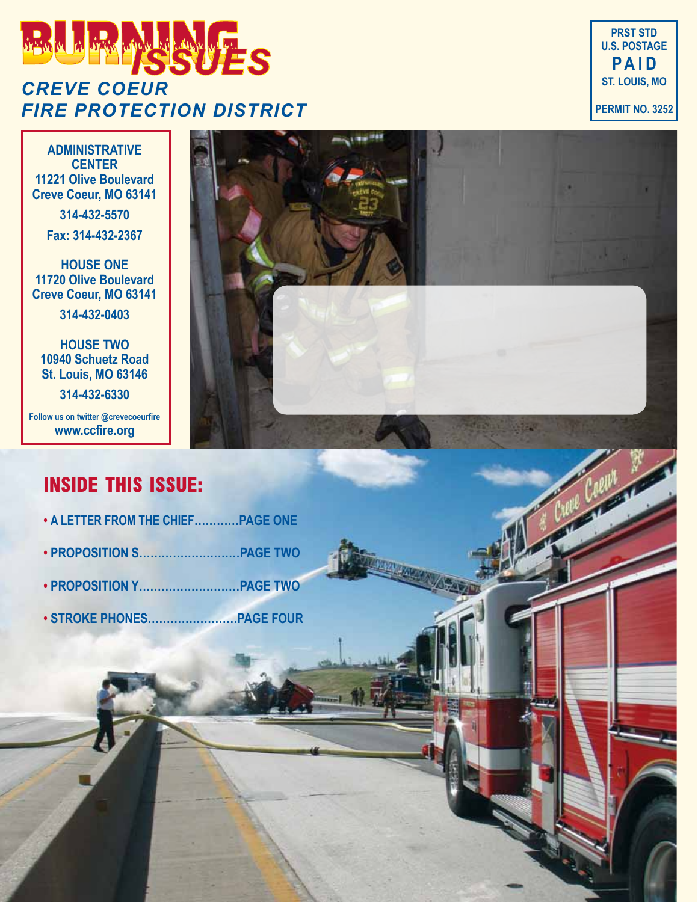## *ISSUES CREVE COEUR FIRE PROTECTION DISTRICT*

**PRST STD U.S. POSTAGE P A I D ST. LOUIS, MO PERMIT NO. 3252**

**Artist** 

**ADMINISTRATIVE CENTER 11221 Olive Boulevard Creve Coeur, MO 63141**

**314-432-5570**

**Fax: 314-432-2367**

**HOUSE ONE 11720 Olive Boulevard Creve Coeur, MO 63141**

**314-432-0403**

**HOUSE TWO 10940 Schuetz Road St. Louis, MO 63146**

**314-432-6330**

**Follow us on twitter @crevecoeurfire www.ccfire.org**

#### **INSIDE THIS ISSUE:**

- **• A LETTER FROM THE CHIEF…………PAGE ONE**
- **PROPOSITION S………………………PAGE TWO**
- **PROPOSITION Y………………………PAGE TWO**
- **STROKE PHONES……………………PAGE FOUR**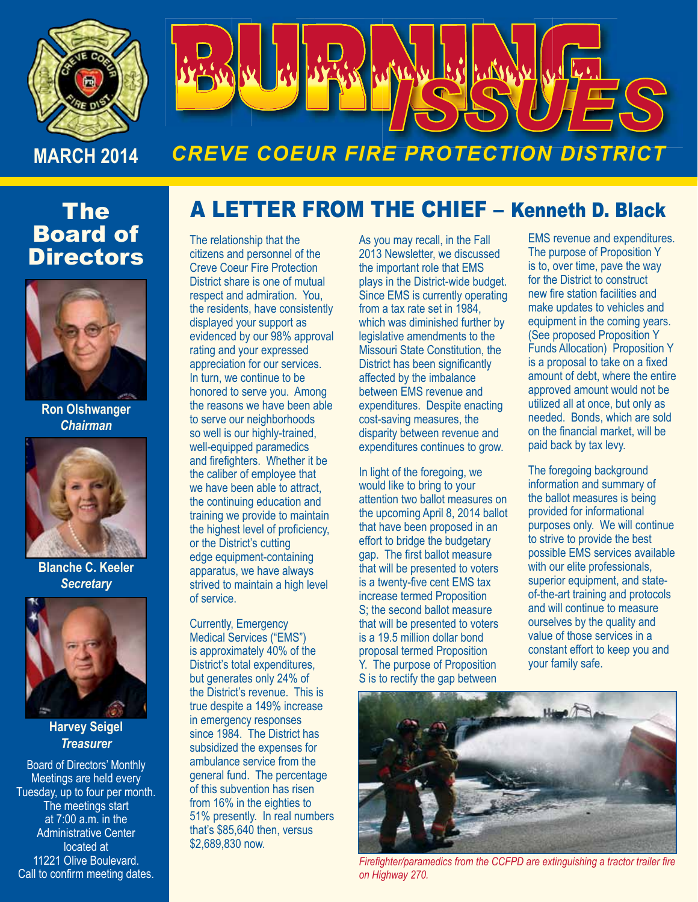

# **ACA**  $\Omega$

## *CREVE COEUR FIRE PROTECTION DISTRICT*

### The Board of **Directors**



**Ron Olshwanger** *Chairman*



**Blanche C. Keeler** *Secretary*



**Harvey Seigel** *Treasurer* 

Board of Directors' Monthly Meetings are held every Tuesday, up to four per month. The meetings start at 7:00 a.m. in the Administrative Center located at 11221 Olive Boulevard. Call to confirm meeting dates.

## A LETTER FROM THE CHIEF – Kenneth D. Black

The relationship that the citizens and personnel of the Creve Coeur Fire Protection District share is one of mutual respect and admiration. You, the residents, have consistently displayed your support as evidenced by our 98% approval rating and your expressed appreciation for our services. In turn, we continue to be honored to serve you. Among the reasons we have been able to serve our neighborhoods so well is our highly-trained, well-equipped paramedics and firefighters. Whether it be the caliber of employee that we have been able to attract, the continuing education and training we provide to maintain the highest level of proficiency, or the District's cutting edge equipment-containing apparatus, we have always strived to maintain a high level of service.

Currently, Emergency Medical Services ("EMS") is approximately 40% of the District's total expenditures, but generates only 24% of the District's revenue. This is true despite a 149% increase in emergency responses since 1984. The District has subsidized the expenses for ambulance service from the general fund. The percentage of this subvention has risen from 16% in the eighties to 51% presently. In real numbers that's \$85,640 then, versus \$2,689,830 now.

As you may recall, in the Fall 2013 Newsletter, we discussed the important role that EMS plays in the District-wide budget. Since EMS is currently operating from a tax rate set in 1984, which was diminished further by legislative amendments to the Missouri State Constitution, the District has been significantly affected by the imbalance between EMS revenue and expenditures. Despite enacting cost-saving measures, the disparity between revenue and expenditures continues to grow.

In light of the foregoing, we would like to bring to your attention two ballot measures on the upcoming April 8, 2014 ballot that have been proposed in an effort to bridge the budgetary gap. The first ballot measure that will be presented to voters is a twenty-five cent EMS tax increase termed Proposition S; the second ballot measure that will be presented to voters is a 19.5 million dollar bond proposal termed Proposition Y. The purpose of Proposition S is to rectify the gap between

EMS revenue and expenditures. The purpose of Proposition Y is to, over time, pave the way for the District to construct new fire station facilities and make updates to vehicles and equipment in the coming years. (See proposed Proposition Y Funds Allocation) Proposition Y is a proposal to take on a fixed amount of debt, where the entire approved amount would not be utilized all at once, but only as needed. Bonds, which are sold on the financial market, will be paid back by tax levy.

The foregoing background information and summary of the ballot measures is being provided for informational purposes only. We will continue to strive to provide the best possible EMS services available with our elite professionals, superior equipment, and stateof-the-art training and protocols and will continue to measure ourselves by the quality and value of those services in a constant effort to keep you and your family safe.



*Firefighter/paramedics from the CCFPD are extinguishing a tractor trailer fire on Highway 270.*